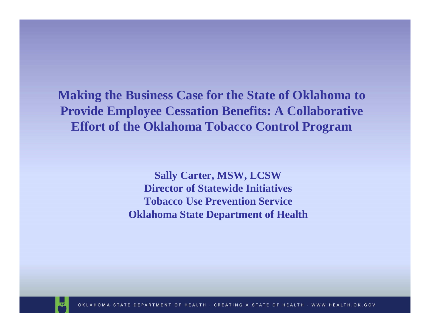**Making the Business Case for the State of Oklahoma to Provide Employee Cessation Benefits: A Collaborative Effort of the Oklahoma Tobacco Control Program**

> **Sally Carter, MSW, LCSW Director of State wide Initiatives Tobacco Use Prevention ServiceOklahoma State Department of Health**

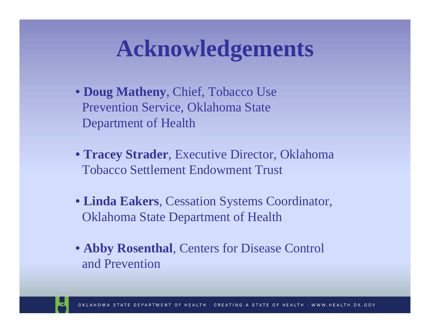## **Acknowledgements**

- **Doug Matheny**, Chief, Tobacco Use Prevention Service, Oklahom a State Department of Health
- **Tracey Strader**, Executive Director, Oklahom a Tobacco Settlement Endowment Trust
- **Linda Eakers**, Cessation Systems Coordinator, Oklahoma State Department of Health
- **Abby Rosenthal**, Centers for Disease Control and Prevention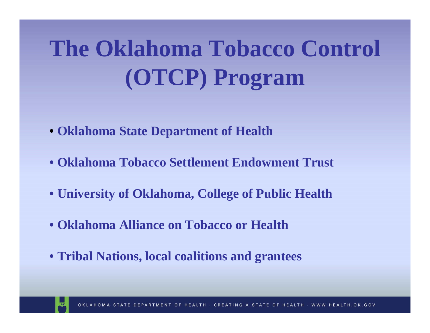# **The Oklahoma Tobacco Control (OTCP) Program**

- **Oklahoma State Department of Health**
- **Oklahoma Tobacco Settlement Endowment Trust**
- **University of Oklahoma, College of Public Health**
- **Oklahoma Alliance on Tobacco or Health**
- **Tribal Nations, local coalitions and grantees**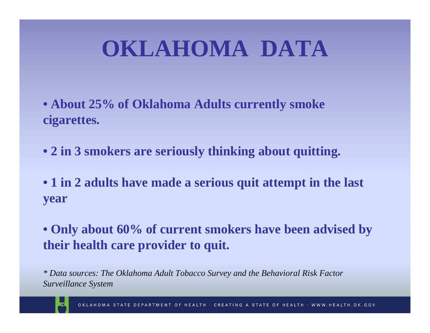# **OKLAHOMA DATA**

- **About 25% of Oklahoma Adults currently smoke cigarettes.**
- **2 in 3 smokers are seriously thinking about quitting.**
- **1 in 2 adults have made a serious quit attempt in the last year**
- **Only about 60% of current smokers have been advised by their health care provider to quit.**

*\* Data sources: The Oklahoma Adult Tobacco Survey and the B ehavioral Risk Factor Surveillance System*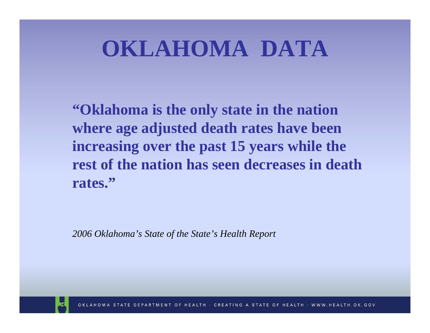# **OKLAHOMA DATA**

**"Oklahoma is the only state in the nation where age adjusted death rates have been increasing over the past 15 years while the rest of the nation has seen decreases in death rates."**

*2006 Oklahoma's State of the State's Health Report*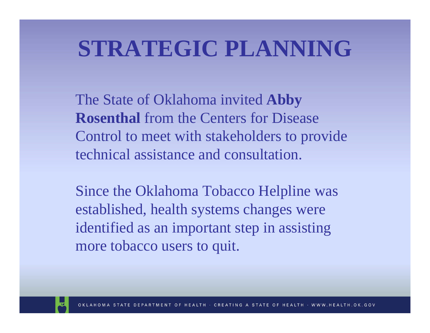# **STRATEGIC PLANNING**

The State of Oklahoma invited **Abby Rosenthal** from the Centers for Disease Control to meet with stakeholders to provide technical assistance and consultation.

Since the Oklahoma Tobacco Helpline was established, health systems changes were identified as an important step in assisting more tobacco users to quit.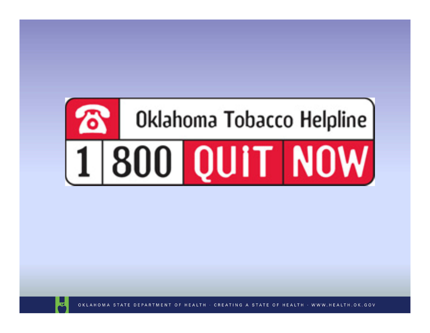



OKLAHOMA STATE DEPARTMENT OF HEALTH · CREATING A STATE OF HEALTH · WWW.HEALTH.OK.GOV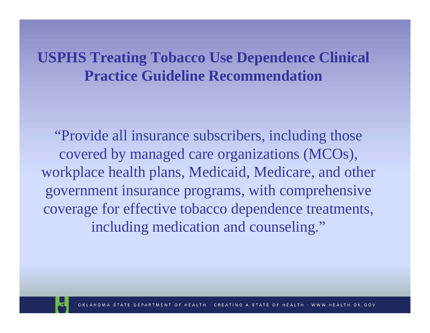#### **USPHS Treating Tobacco Use Dependence Clinical Practice Guideline Recommendation**

"Provide all insurance subscribers, including those covered by managed care organizations (MCOs), workplace health plans, Medicaid, Medicare, and other government insurance programs, with comprehensive coverage for effective tobacco dependence treatments, including medication and counseling."

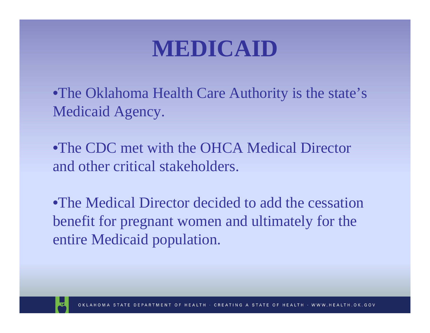### **MEDICAID**

•The Oklahoma Health Care Authority is the state's Medicaid Agency.

•The CDC met with the OHCA Medical Director and other critical stakeholders.

•The Medical Director decided to add the cessation benefit for pregnant women and ultimately for the entire Medicaid population.

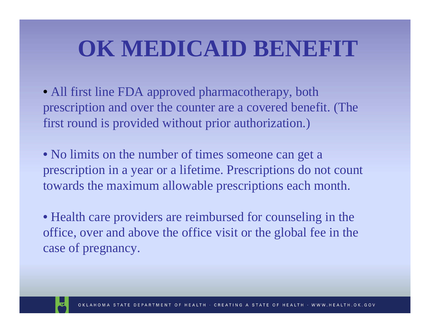# **OK MEDICAID BENEFIT**

• All first line FDA approved pharmacotherapy, both prescription and over the counter are a covered benefit. (The first round is provided without prior authorization.)

• No limits on the number of times someone can get a prescription in a y ear or a lifetime. Prescriptions do not count towards the maximum allowable prescriptions each month.

• Health care providers are reimbursed for counseling in the office, over and above the office visit or the global fee in the case of pregnancy.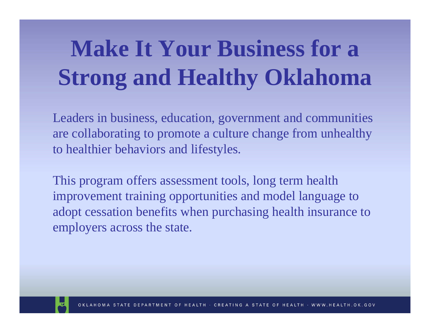# **Make It Your Business for a Strong and Healthy Oklahoma**

Leaders in business, education, government and com munities are collaborating to promote a culture change from unhealthy to healthier behaviors and lifestyles.

This program offers assessm ent tools, long term health improvement training opportunities and model language to adopt cessation benefits when purchasing health insurance to employers across the state.

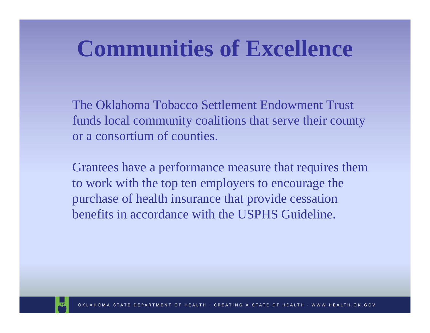## **Communities of Excellence**

The Oklahoma Tobacco Settlement Endowment Trust funds local com munity coalitions that serve their county or a consortium of counties.

Grantees have a performance measure that requires them to work with the top ten employers to encourage the purchase of health insurance that provide cessation benefits in accordance with the USPHS Guideline.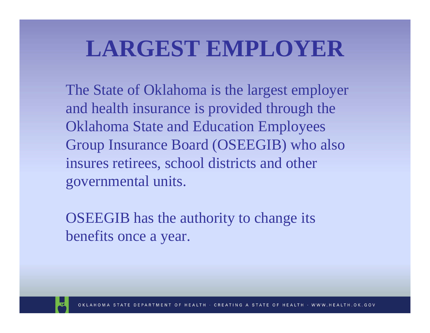## **LARGEST EMPLOYER**

The State of Oklahoma is the largest employer and health insurance is provided through the Oklahoma State and Education Employees Group Insurance Board (OSEEGIB) who also insures retirees, school districts and other governmental units.

OSEEGIB has the authority to change its benefits once a year.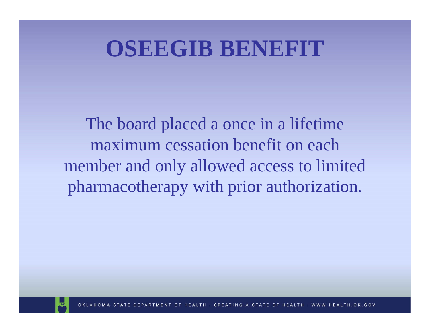#### **OSEEGIB BENEFIT**

The board placed a once in a lifetime maximum cessation benefit on each member and only allowed access to limited pharmacotherapy with prior authorization.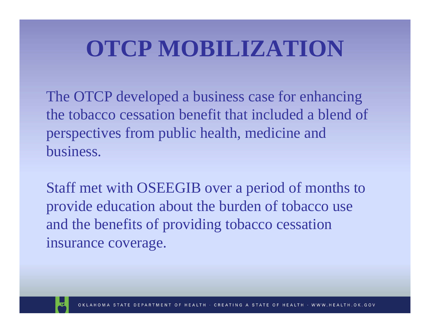# **OTCP MOBILIZATION**

The OTCP developed a business case for enhancing the tobacco cessation benefit that included a blend of perspectives from public health, medicine and business.

Staff met with OSEEGIB over a period of months to provide education about the burden of tobacco use and the benefits of providing tobacco cessation insurance coverage.

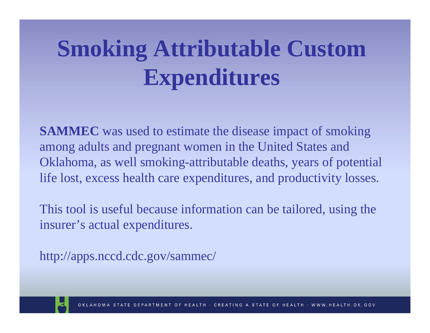# **Smoking Attributable Custom Expenditures**

**SAMMEC** was used to estimate the disease impact of smoking among adults and pregnant women in the United States and Oklahoma, as well smoking-attributable deaths, years of potential life lost, excess health care expenditures, and productivity losses.

This tool is useful because information can be tailored, using the insurer's actual expenditures.

http://apps.nccd.cdc.gov/sam m ec/

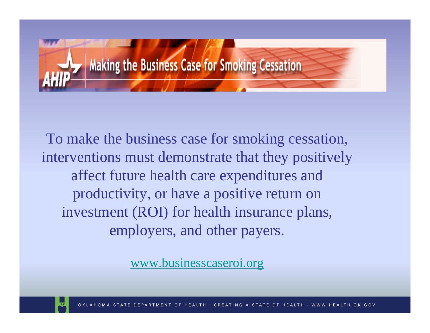

To make the business case for smoking cessation, interventions must demonstrate that they positively affect future health care expenditures and productivity, or have a positive return on investment (ROI) for health insurance plans, employers, and other payers.

[www.businesscaseroi.org](http://www.businesscaseroi.org/)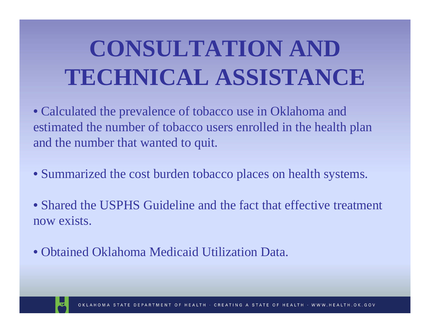# **CONSULTATION AND TECHNICAL ASSISTANCE**

• Calculated the prevalence of tobacco use in Oklahom a and estimated the number of tobacco users enrolled in the health plan and the num ber that wanted to quit.

- Summarized the cost burden tobacco places on health systems.
- Shared the USPHS Guideline and the fact that effective treatment now exists.
- Obtained Oklahoma Medicaid Utilization Data.

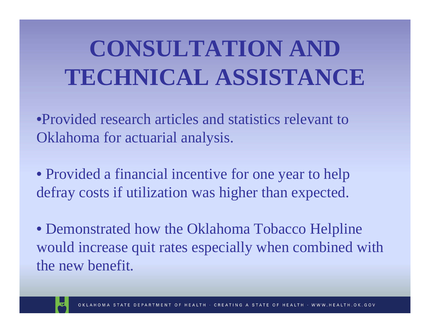# **CONSULTATION AND TECHNICAL ASSISTANCE**

•Provided research articles and statistics relevant to Oklahoma for actuarial analysis.

• Provided a financial incentive for one year to help defray costs if utilization was higher than expected.

• Demonstrated how the Oklahoma Tobacco Helpline would increase quit rates especially when combined with the new benefit.

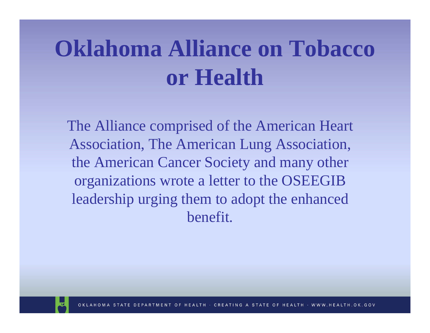# **Oklahoma Alliance on Tobacco or Health**

The Alliance comprised of the American Heart Association, The American Lung Association, the American Cancer Society and many other organizations wrote a letter to the OSEEGIB leadership urging them to adopt the enhanced benefit.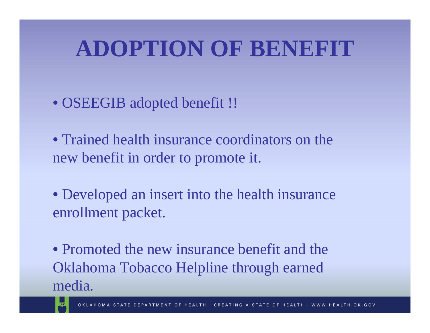# **ADOPTION OF BENEFIT**

- OSEEGIB adopted benefit !!
- Trained health insurance coordinators on the new benefit in order to promote it.
- Developed an insert into the health insurance enrollment packet.

• Promoted the new insurance benefit and the Oklahoma Tobacco Helpline through earned media.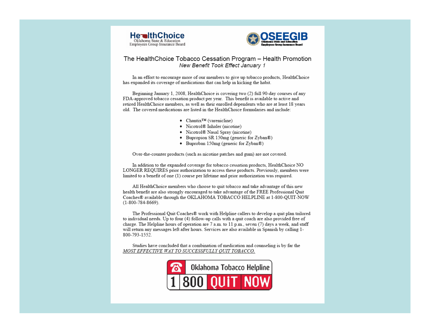



#### The HealthChoice Tobacco Cessation Program - Health Promotion New Benefit Took Effect January 1

In an effort to encourage more of our members to give up tobacco products. HealthChoice has expanded its coverage of medications that can help in kicking the habit.

Beginning January 1, 2008. HealthChoice is covering two (2) full 90-day courses of any FDA-approved tobacco cessation product per year. This benefit is available to active and retired HealthChoice members, as well as their enrolled dependents who are at least 18 years old. The covered medications are listed in the HealthChoice formularies and include:

- $\bullet$  Chantix<sup>IM</sup> (varenicline)
- Nicotrol® Inhaler (nicotine)
- Nicotrol® Nasal Spray (nicotine)
- Bupropion SR 150mg (generic for Zyban®)
- Buproban 150mg (generic for Zyban®)

Over-the-counter products (such as nicotine patches and gum) are not covered.

In addition to the expanded coverage for tobacco cessation products, HealthChoice NO LONGER REOUIRES prior authorization to access these products. Previously, members were limited to a benefit of one (1) course per lifetime and prior authorization was required.

All HealthChoice members who choose to quit tobacco and take advantage of this new health benefit are also strongly encouraged to take advantage of the FREE Professional Quit Coaches® available through the OKLAHOMA TOBACCO HELPLINE at 1-800-QUIT-NOW  $(1 - 800 - 784 - 8669)$ 

The Professional Ouit Coaches® work with Helpline callers to develop a quit plan tailored to individual needs. Up to four (4) follow-up calls with a quit coach are also provided free of charge. The Helpline hours of operation are 7 a.m. to 11 p.m., seven (7) days a week, and staff will return any messages left after hours. Services are also available in Spanish by calling 1-800-793-1552.

Studies have concluded that a combination of medication and counseling is by far the MOST EFFECTIVE WAY TO SUCCESSFULLY QUIT TOBACCO.

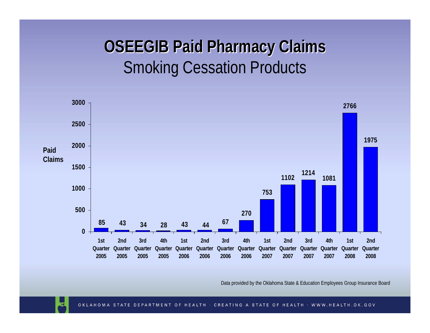#### **OSEEGIB Paid Pharmacy Claims OSEEGIB Paid Pharmacy Claims** Smoking Cessation Products



Data provided by the Oklahoma State & Education Employees Grou p Insurance Board

ᅐ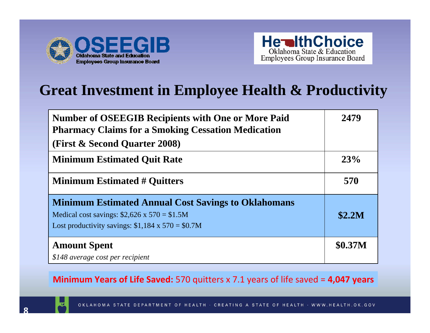



#### **Great Investment in Employee Health & Productivity**

| <b>Number of OSEEGIB Recipients with One or More Paid</b><br><b>Pharmacy Claims for a Smoking Cessation Medication</b>                                                    | 2479           |
|---------------------------------------------------------------------------------------------------------------------------------------------------------------------------|----------------|
| (First & Second Quarter 2008)                                                                                                                                             |                |
| <b>Minimum Estimated Quit Rate</b>                                                                                                                                        | 23%            |
| <b>Minimum Estimated # Quitters</b>                                                                                                                                       | 570            |
| <b>Minimum Estimated Annual Cost Savings to Oklahomans</b><br>Medical cost savings: $$2,626 \times 570 = $1.5M$<br>Lost productivity savings: $$1,184 \times 570 = $0.7M$ | \$2.2M         |
| <b>Amount Spent</b><br>\$148 average cost per recipient                                                                                                                   | <b>\$0.37M</b> |

**Minimum Years of Life Saved:** 570 quitters x 7.1 years of life saved = **4,047 years**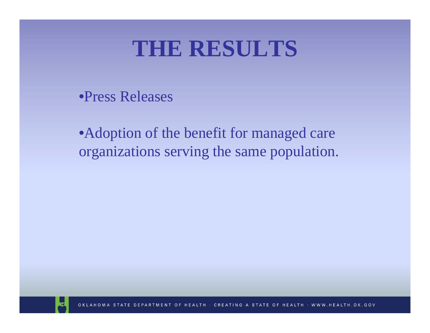#### **THE RESULTS**

•Press Releases

• Adoption of the benefit for managed care organizations serving the same population.

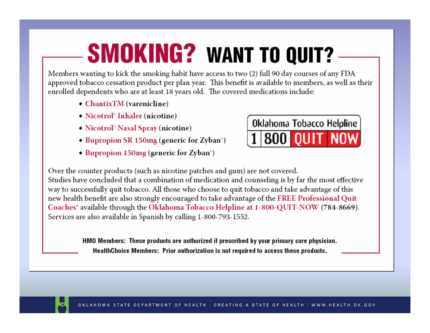# **SMOKING? WANT TO QUIT?**

Members wanting to kick the smoking habit have access to two (2) full 90 day courses of any FDA approved tobacco cessation product per plan year. This benefit is available to members, as well as their enrolled dependents who are at least 18 years old. The covered medications include:

- ChantixTM (varenicline)
- Nicotrol<sup>®</sup> Inhaler (nicotine)
- Nicotrol<sup>®</sup> Nasal Spray (nicotine)
- Bupropion SR 150mg (generic for Zyban<sup>®</sup>)
- Bupropion 150mg (generic for Zyban<sup>®</sup>)



Over the counter products (such as nicotine patches and gum) are not covered. Studies have concluded that a combination of medication and counseling is by far the most effective way to successfully quit tobacco. All those who choose to quit tobacco and take advantage of this new health benefit are also strongly encouraged to take advantage of the FREE Professional Quit Coaches<sup>®</sup> available through the Oklahoma Tobacco Helpline at 1-800-QUIT-NOW (784-8669). Services are also available in Spanish by calling 1-800-793-1552.

> HMO Members: These products are authorized if prescribed by your primary care physician. HealthChoice Members: Prior authorization is not required to access these products.

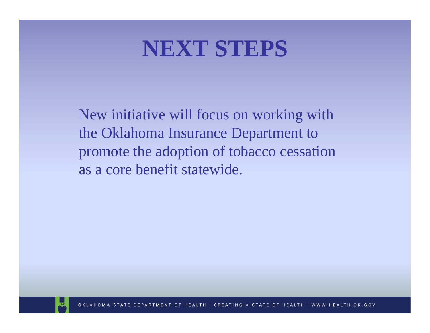#### **NEXT STEPS**

New initiative will focus on working with the Oklahoma Insurance Department to promote the adoption of tobacco cessation as a core benefit statewide.